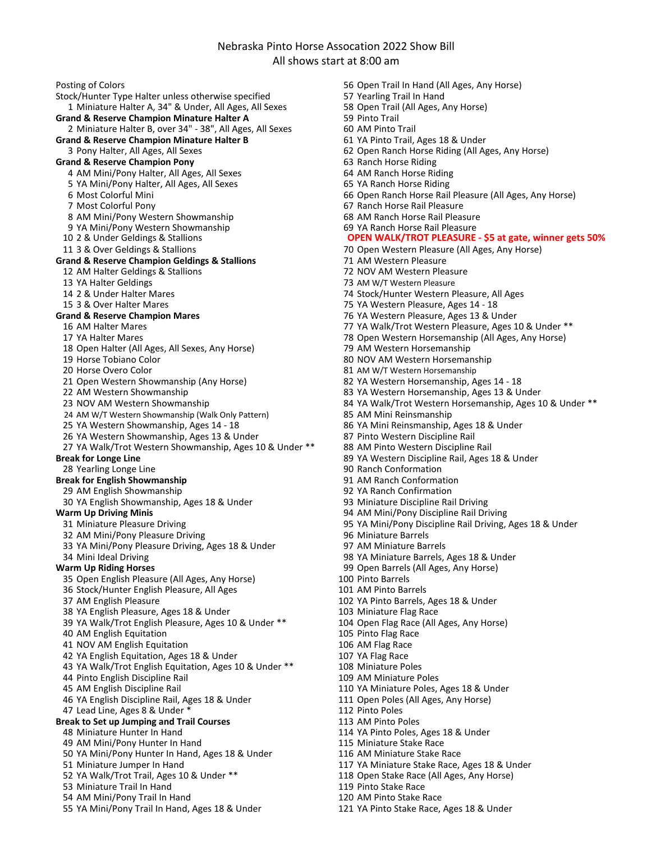Nebraska Pinto Horse Assocation 2022 Show Bill All shows start at 8:00 am

Posting of Colors 65 Open Trail In Hand (All Ages, Any Horse)<br>1998) Stock/Hunter Type Halter unless otherwise specified 57 Yearling Trail In Hand Stock/Hunter Type Halter unless otherwise specified 1 Miniature Halter A, 34" & Under, All Ages, All Sexes 58 Open Trail (All Ages, Any Horse)<br> **Sand & Reserve Champion Minature Halter A** 59 Pinto Trail Grand & Reserve Champion Minature Halter A 59 Pinto Trail<br>2 Miniature Halter B, over 34" - 38", All Ages, All Sexes 60 AM Pinto Trail 2 Miniature Halter B, over 34" - 38", All Ages, All Sexes 60 AM Pinto Trail<br> **and & Reserve Champion Minature Halter B** 61 YA Pinto Trail, Ages 18 & Under **Grand & Reserve Champion Minature Halter B** 3 Pony Halter, All Ages, All Sexes **Grand & Reserve Champion Pony**<br>4 AM Mini/Pony Halter, All Ages, All Sexes 64 AM Ranch Horse Riding 4 AM Mini/Pony Halter, All Ages, All Sexes 64 AM Ranch Horse Riding<br>1994 - 65 YA Mini/Pony Halter, All Ages, All Sexes 65 YA Ranch Horse Riding 5 YA Mini/Pony Halter, All Ages, All Sexes 6 Most Colorful Mini **66 Open Ranch Horse Rail Pleasure (All Ages**, Any Horse)<br>67 Ranch Horse Rail Pleasure (All Ages, Any Horse) 8 AM Mini/Pony Western Showmanship 68 AM Ranch Horse Rail Pleasure<br>19 YA Mini/Pony Western Showmanship 69 YA Ranch Horse Rail Pleasure 9 YA Mini/Pony Western Showmanship 10 2 & Under Geldings & Stallions 11 3 & Over Geldings & Stallions 70 Open Western Pleasure (All Ages, Any Horse) **Grand & Reserve Champion Geldings & Stallions** 71 AM Western Pleasure<br>12 AM Halter Geldings & Stallions 72 NOV AM Western Pleasure 12 AM Halter Geldings & Stallions 13 YA Halter Geldings<br>14 2 & Under Halter Mares<br>14 2 & Under Halter Mares<br>14 2 & Under Halter Mares 15 3 & Over Halter Mares 18 and 15 YA Western Pleasure, Ages 14 - 18<br>15 Grand & Reserve Champion Mares 19 American 19 and 19 and 19 and 19 and 19 and 19 and 19 and 19 and 19 and 1 16 AM Halter Mares 16 AM Halter Mares 10 & Under \*\*<br>17 YA Halter Mares 19 AM Horse 17 YA Walk/Trot Western Pleasure, Ages 10 & Under \*\* 18 Open Halter (All Ages, All Sexes, Any Horse)<br>19 Horse Tobiano Color 20 Horse Overo Color 81 AM W/T Western Horsemanship 21 Open Western Showmanship (Any Horse) 82 YA Western Horsemanship, Ages 14 - 18 22 AM Western Showmanship 83 YA Western Horsemanship, Ages 13 & Under 24 AM W/T Western Showmanship (Walk Only Pattern) 85 AM Mini Reinsmanship 25 YA Western Showmanship, Ages 14 - 18 66 YA Mini Reinsmanship, Ages 18 & Under<br>26 YA Western Showmanship, Ages 13 & Under 67 87 Pinto Western Discipline Rail 26 YA Western Showmanship, Ages 13 & Under 87 Pinto Western Discipline Rail<br>27 YA Walk/Trot Western Showmanship, Ages 10 & Under \*\* 88 AM Pinto Western Discipline Rail 27 YA Walk/Trot Western Showmanship, Ages 10 & Under \*\* **Break for Longe Line** 89 YA Western Discipline Rail, Ages 18 & Under<br>18 Yearling Longe Line 89 Year 28 Yearling Longe 10 Ages 18 August 28 Yearling 28 Yearling Longe Line 28 Yearling Longe Line **Break for English Showmanship**<br>1998 AM English Showmanship<br>1998 YA Ranch Confirmation 29 AM English Showmanship<br>20 YA English Showmanship, Ages 18 & Under 1988 1988 93 Miniature Discipline Rail Driving 30 YA English Showmanship, Ages 18 & Under **Warm Up Driving Minis** 94 AM Mini/Pony Discipline Rail Driving 32 AM Mini/Pony Pleasure Driving<br>33 YA Mini/Pony Pleasure Driving. Ages 18 & Under 97 AM Miniature Barrels 33 YA Mini/Pony Pleasure Driving, Ages 18 & Under 34 Mini Ideal Driving **198 Ya Ministure Barrels, Ages 18 & Under**<br>199 Open Barrels (All Ages, Any Horse) **Warm Up Riding Horses** 35 Open English Pleasure (All Ages, Any Horse) 100 Pinto Barrels<br>36 Stock/Hunter English Pleasure. All Ages 101 AM Pinto Barrels 36 Stock/Hunter English Pleasure, All Ages 37 AM English Pleasure 18 & Under 102 YA Pinto Barrels, Ages 18 & Under 102 YA Pinto Barrels, Ages 18 & Under 103 Miniature Flag Race 38 YA English Pleasure, Ages 18 & Under 39 YA Walk/Trot English Pleasure, Ages 10 & Under \*\* 104 Open Flag Race (All Ages, Any Horse) 40 AM English Equitation 105 Pinto Flag Race 41 NOV AM English Equitation<br>
42 YA English Equitation, Ages 18 & Under
107 YA Flag Race
42 YA English Equitation, Ages 18 & Under
42 YA English Equitation, Ages 18 & Under
42 YA English Equitation, Ages 18 & Under
42 YA E 42 YA English Equitation, Ages 18 & Under 43 YA Walk/Trot English Equitation, Ages 10 & Under \*\* 108 Miniature Poles<br>44 Pinto English Discipline Rail 109 AM Miniature Poles 44 Pinto English Discipline Rail<br>45 AM English Discipline Rail 46 YA English Discipline Rail, Ages 18 & Under 47 Lead Line, Ages 8 & Under \* 112 Pinto Poles **Break to Set up Jumping and Trail Courses** 113 AM Pinto Poles<br>48 Miniature Hunter In Hand 114 YA Pinto Poles, 49 AM Mini/Pony Hunter In Hand 50 YA Mini/Pony Hunter In Hand, Ages 18 & Under 116 AM Miniature Stake Race 51 Miniature Jumper In Hand 117 YA Miniature Stake Race, Ages 18 & Under 52 YA Walk/Trot Trail, Ages 10 & Under \*\* 118 Open Stake Race (All Ages, Any Horse) 53 Miniature Trail In Hand 119 Pinto Stake Race 54 AM Mini/Pony Trail In Hand 120 AM Pinto Stake Race

62 Open Ranch Horse Riding (All Ages, Any Horse)<br>63 Ranch Horse Riding 67 Ranch Horse Rail Pleasure<br>68 AM Ranch Horse Rail Pleasure 74 Stock/Hunter Western Pleasure, All Ages **Grand & Reserve Champion Mares** 76 YA Western Pleasure, Ages 13 & Under 78 Open Western Horsemanship (All Ages, Any Horse)<br>79 AM Western Horsemanship 80 NOV AM Western Horsemanship 23 NOV AM Western Showmanship 23 NOV AM Western Horsemanship, Ages 10 & Under \*\* 95 YA Mini/Pony Discipline Rail Driving, Ages 18 & Under 99 Open Barrels (All Ages, Any Horse) 100 Pinto Barrels 110 YA Miniature Poles, Ages 18 & Under<br>111 Open Poles (All Ages, Any Horse) 114 YA Pinto Poles, Ages 18 & Under<br>115 Miniature Stake Race **OPEN WALK/TROT PLEASURE - \$5 at gate, winner gets 50%**

- 
- 55 YA Mini/Pony Trail In Hand, Ages 18 & Under 121 YA Pinto Stake Race, Ages 18 & Under